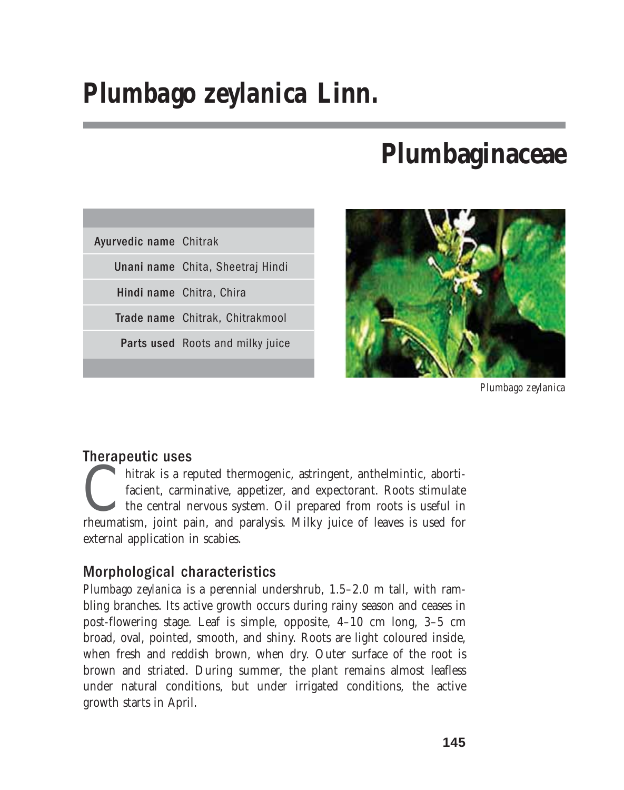# *Plumbago zeylanica* **Linn.**

# **Plumbaginaceae**

| Ayurvedic name Chitrak |                                  |
|------------------------|----------------------------------|
|                        | Unani name Chita, Sheetraj Hindi |
|                        | Hindi name Chitra, Chira         |
|                        | Trade name Chitrak, Chitrakmool  |
|                        | Parts used Roots and milky juice |
|                        |                                  |



*Plumbago zeylanica*

# Therapeutic uses

hitrak is a reputed thermogenic, astringent, anthelmintic, abortificient, carminative, appetizer, and expectorant. Roots stimulate the central nervous system. Oil prepared from roots is useful in rheumatism, joint pain, an facient, carminative, appetizer, and expectorant. Roots stimulate the central nervous system. Oil prepared from roots is useful in external application in scabies.

# Morphological characteristics

*Plumbago zeylanica* is a perennial undershrub, 1.5–2.0 m tall, with rambling branches. Its active growth occurs during rainy season and ceases in post-flowering stage. Leaf is simple, opposite, 4–10 cm long, 3–5 cm broad, oval, pointed, smooth, and shiny. Roots are light coloured inside, when fresh and reddish brown, when dry. Outer surface of the root is brown and striated. During summer, the plant remains almost leafless under natural conditions, but under irrigated conditions, the active growth starts in April.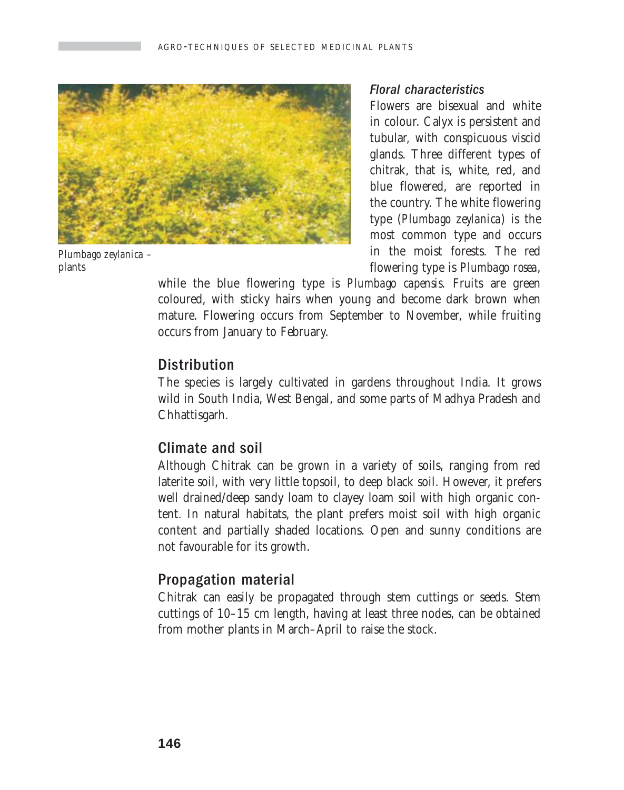

*Plumbago zeylanica –* plants

#### Floral characteristics

Flowers are bisexual and white in colour. Calyx is persistent and tubular, with conspicuous viscid glands. Three different types of chitrak, that is, white, red, and blue flowered, are reported in the country. The white flowering type (*Plumbago zeylanica*) is the most common type and occurs in the moist forests. The red flowering type is *Plumbago rosea*,

while the blue flowering type is *Plumbago capensis*. Fruits are green coloured, with sticky hairs when young and become dark brown when mature. Flowering occurs from September to November, while fruiting occurs from January to February.

## **Distribution**

The species is largely cultivated in gardens throughout India. It grows wild in South India, West Bengal, and some parts of Madhya Pradesh and Chhattisgarh.

## Climate and soil

Although Chitrak can be grown in a variety of soils, ranging from red laterite soil, with very little topsoil, to deep black soil. However, it prefers well drained/deep sandy loam to clayey loam soil with high organic content. In natural habitats, the plant prefers moist soil with high organic content and partially shaded locations. Open and sunny conditions are not favourable for its growth.

## Propagation material

Chitrak can easily be propagated through stem cuttings or seeds. Stem cuttings of 10–15 cm length, having at least three nodes, can be obtained from mother plants in March–April to raise the stock.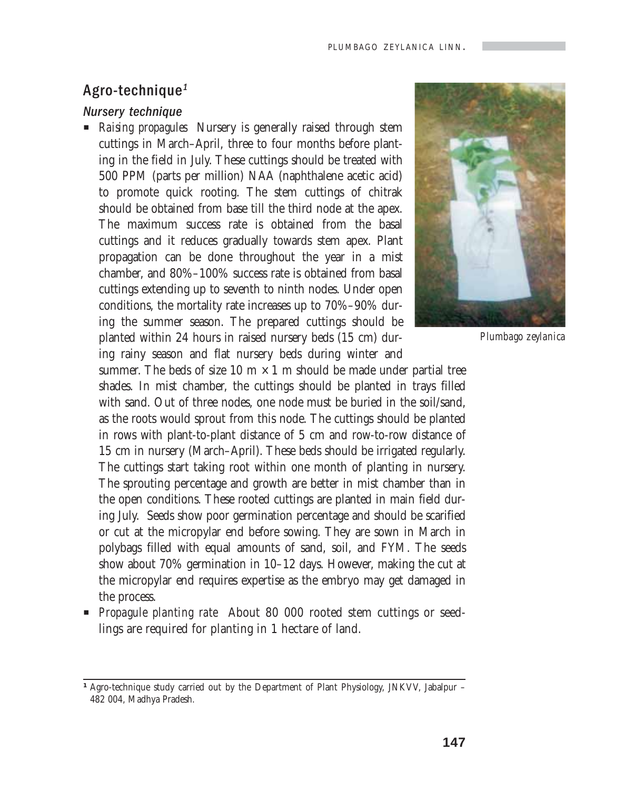#### Agro-technique<sup>1</sup>

#### Nursery technique

**P** *Raising propagules* Nursery is generally raised through stem cuttings in March–April, three to four months before planting in the field in July. These cuttings should be treated with 500 PPM (parts per million) NAA (naphthalene acetic acid) to promote quick rooting. The stem cuttings of chitrak should be obtained from base till the third node at the apex. The maximum success rate is obtained from the basal cuttings and it reduces gradually towards stem apex. Plant propagation can be done throughout the year in a mist chamber, and 80%–100% success rate is obtained from basal cuttings extending up to seventh to ninth nodes. Under open conditions, the mortality rate increases up to 70%–90% during the summer season. The prepared cuttings should be planted within 24 hours in raised nursery beds (15 cm) during rainy season and flat nursery beds during winter and



*Plumbago zeylanica*

summer. The beds of size 10 m  $\times$  1 m should be made under partial tree shades. In mist chamber, the cuttings should be planted in trays filled with sand. Out of three nodes, one node must be buried in the soil/sand, as the roots would sprout from this node. The cuttings should be planted in rows with plant-to-plant distance of 5 cm and row-to-row distance of 15 cm in nursery (March–April). These beds should be irrigated regularly. The cuttings start taking root within one month of planting in nursery. The sprouting percentage and growth are better in mist chamber than in the open conditions. These rooted cuttings are planted in main field during July. Seeds show poor germination percentage and should be scarified or cut at the micropylar end before sowing. They are sown in March in polybags filled with equal amounts of sand, soil, and FYM. The seeds show about 70% germination in 10–12 days. However, making the cut at the micropylar end requires expertise as the embryo may get damaged in the process.

**Propagule planting rate** About 80 000 rooted stem cuttings or seedlings are required for planting in 1 hectare of land.

<sup>&</sup>lt;sup>1</sup> Agro-technique study carried out by the Department of Plant Physiology, JNKVV, Jabalpur – 482 004, Madhya Pradesh.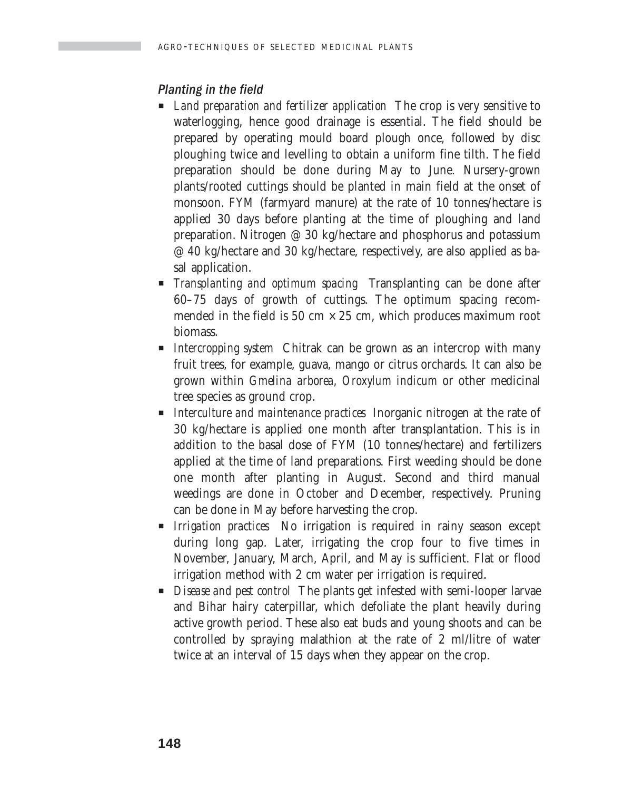### Planting in the field

- **EXECUTE:** Land preparation and fertilizer application The crop is very sensitive to waterlogging, hence good drainage is essential. The field should be prepared by operating mould board plough once, followed by disc ploughing twice and levelling to obtain a uniform fine tilth. The field preparation should be done during May to June. Nursery-grown plants/rooted cuttings should be planted in main field at the onset of monsoon. FYM (farmyard manure) at the rate of 10 tonnes/hectare is applied 30 days before planting at the time of ploughing and land preparation. Nitrogen @ 30 kg/hectare and phosphorus and potassium @ 40 kg/hectare and 30 kg/hectare, respectively, are also applied as basal application.
- P *Transplanting and optimum spacing* Transplanting can be done after 60–75 days of growth of cuttings. The optimum spacing recommended in the field is 50 cm  $\times$  25 cm, which produces maximum root biomass.
- **P** *Intercropping system* Chitrak can be grown as an intercrop with many fruit trees, for example, guava, mango or citrus orchards. It can also be grown within *Gmelina arborea, Oroxylum indicum* or other medicinal tree species as ground crop.
- **P** *Interculture and maintenance practices* Inorganic nitrogen at the rate of 30 kg/hectare is applied one month after transplantation. This is in addition to the basal dose of FYM (10 tonnes/hectare) and fertilizers applied at the time of land preparations. First weeding should be done one month after planting in August. Second and third manual weedings are done in October and December, respectively. Pruning can be done in May before harvesting the crop.
- **P** *Irrigation practices* No irrigation is required in rainy season except during long gap. Later, irrigating the crop four to five times in November, January, March, April, and May is sufficient. Flat or flood irrigation method with 2 cm water per irrigation is required.
- **P** *Disease and pest control* The plants get infested with semi-looper larvae and Bihar hairy caterpillar, which defoliate the plant heavily during active growth period. These also eat buds and young shoots and can be controlled by spraying malathion at the rate of 2 ml/litre of water twice at an interval of 15 days when they appear on the crop.